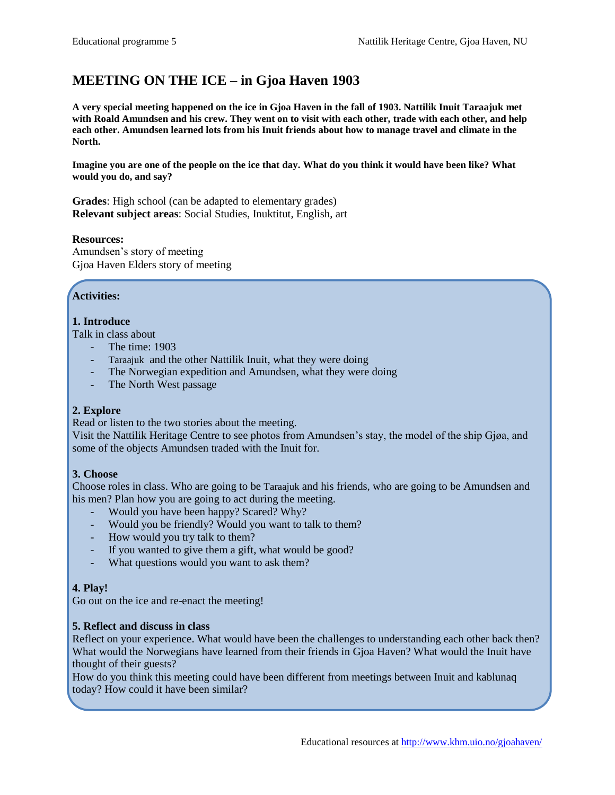# **MEETING ON THE ICE – in Gjoa Haven 1903**

**A very special meeting happened on the ice in Gjoa Haven in the fall of 1903. Nattilik Inuit Taraajuk met with Roald Amundsen and his crew. They went on to visit with each other, trade with each other, and help each other. Amundsen learned lots from his Inuit friends about how to manage travel and climate in the North.** 

**Imagine you are one of the people on the ice that day. What do you think it would have been like? What would you do, and say?** 

**Grades**: High school (can be adapted to elementary grades) **Relevant subject areas**: Social Studies, Inuktitut, English, art

## **Resources:**

Amundsen's story of meeting Gjoa Haven Elders story of meeting

# **Activities:**

## **1. Introduce**

Talk in class about

- The time: 1903
- Taraajuk and the other Nattilik Inuit, what they were doing
- The Norwegian expedition and Amundsen, what they were doing
- The North West passage

# **2. Explore**

Read or listen to the two stories about the meeting.

Visit the Nattilik Heritage Centre to see photos from Amundsen's stay, the model of the ship Gjøa, and some of the objects Amundsen traded with the Inuit for.

## **3. Choose**

Choose roles in class. Who are going to be Taraajuk and his friends, who are going to be Amundsen and his men? Plan how you are going to act during the meeting.

- Would you have been happy? Scared? Why?
- Would you be friendly? Would you want to talk to them?
- How would you try talk to them?
- If you wanted to give them a gift, what would be good?
- What questions would you want to ask them?

## **4. Play!**

Go out on the ice and re-enact the meeting!

## **5. Reflect and discuss in class**

Reflect on your experience. What would have been the challenges to understanding each other back then? What would the Norwegians have learned from their friends in Gjoa Haven? What would the Inuit have thought of their guests?

How do you think this meeting could have been different from meetings between Inuit and kablunaq today? How could it have been similar?